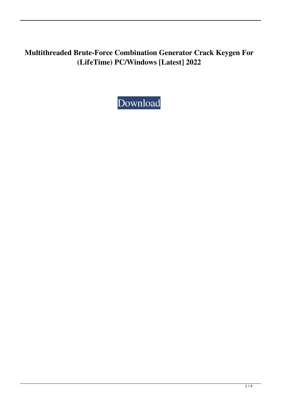**Multithreaded Brute-Force Combination Generator Crack Keygen For (LifeTime) PC/Windows [Latest] 2022**

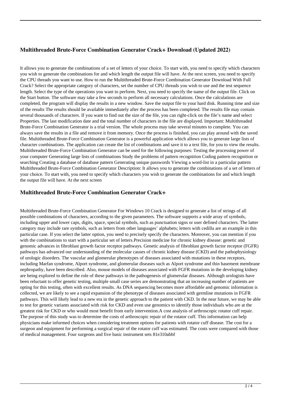## **Multithreaded Brute-Force Combination Generator Crack+ Download (Updated 2022)**

It allows you to generate the combinations of a set of letters of your choice. To start with, you need to specify which characters you wish to generate the combinations for and which length the output file will have. At the next screen, you need to specify the CPU threads you want to use. How to run the Multithreaded Brute-Force Combination Generator Download With Full Crack? Select the appropriate category of characters, set the number of CPU threads you wish to use and the test sequence length. Select the type of the operations you want to perform. Next, you need to specify the name of the output file. Click on the Start button. The software may take a few seconds to perform all necessary calculations. Once the calculations are completed, the program will display the results in a new window. Save the output file to your hard disk. Running time and size of the results The results should be available immediately after the process has been completed. The results file may contain several thousands of characters. If you want to find out the size of the file, you can right-click on the file's name and select Properties. The last modification date and the total number of characters in the file are displayed. Important: Multithreaded Brute-Force Combination Generator is a trial version. The whole process may take several minutes to complete. You can always save the results in a file and remove it from memory. Once the process is finished, you can play around with the saved file. Multithreaded Brute-Force Combination Generator is a powerful application which allows you to generate large lists of character combinations. The application can create the list of combinations and save it to a text file, for you to view the results. Multithreaded Brute-Force Combination Generator can be used for the following purposes: Testing the processing power of your computer Generating large lists of combinations Study the problems of pattern recognition Coding pattern recognition or searching Creating a database of database pattern Generating unique passwords Viewing a word-list in a particular pattern Multithreaded Brute-Force Combination Generator Description: It allows you to generate the combinations of a set of letters of your choice. To start with, you need to specify which characters you wish to generate the combinations for and which length the output file will have. At the next screen

#### **Multithreaded Brute-Force Combination Generator Crack+**

Multithreaded Brute-Force Combination Generator For Windows 10 Crack is designed to generate a list of strings of all possible combinations of characters, according to the given parameters. The software supports a wide array of symbols, including upper and lower caps, digits, space, special symbols, such as punctuation signs or user defined characters. The latter category may include rare symbols, such as letters from other languages' alphabets; letters with cedilla are an example in this particular case. If you select the latter option, you need to precisely specify the characters. Moreover, you can mention if you with the combinations to start with a particular set of letters.Precision medicine for chronic kidney disease: genetic and genomic advances in fibroblast growth factor receptor pathways. Genetic analysis of fibroblast growth factor receptor (FGFR) pathways has advanced our understanding of the molecular causes of chronic kidney disease (CKD) and the pathophysiology of urologic disorders. The vascular and glomerular phenotypes of diseases associated with mutations in these receptors, including Marfan syndrome, Alport syndrome, and glomerular diseases such as Alport syndrome and thin basement membrane nephropathy, have been described. Also, mouse models of diseases associated with FGFR mutations in the developing kidney are being explored to define the role of these pathways in the pathogenesis of glomerular diseases. Although urologists have been reluctant to offer genetic testing, multiple small case series are demonstrating that an increasing number of patients are opting for this testing, often with excellent results. As DNA sequencing becomes more affordable and genomic information is collected, we are likely to see a rapid expansion of the phenotype of diseases associated with germline mutations in FGFR pathways. This will likely lead to a new era in the genetic approach to the patient with CKD. In the near future, we may be able to test for genetic variants associated with risk for CKD and even use genomics to identify those individuals who are at the greatest risk for CKD or who would most benefit from early intervention.A cost analysis of arthroscopic rotator cuff repair. The purpose of this study was to determine the costs of arthroscopic repair of the rotator cuff. This information can help physicians make informed choices when considering treatment options for patients with rotator cuff disease. The cost for a surgeon and equipment for performing a surgical repair of the rotator cuff was estimated. The costs were compared with those of medical management. Four surgeons and five basic instrument sets 81e310abbf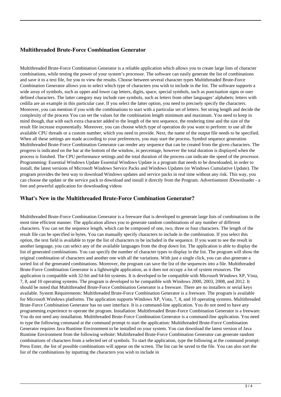### **Multithreaded Brute-Force Combination Generator**

Multithreaded Brute-Force Combination Generator is a reliable application which allows you to create large lists of character combinations, while testing the power of your system's processor. The software can easily generate the list of combinations and save it to a text file, for you to view the results. Choose between several character types Multithreaded Brute-Force Combination Generator allows you to select which type of characters you wish to include in the list. The software supports a wide array of symbols, such as upper and lower cap letters, digits, space, special symbols, such as punctuation signs or user defined characters. The latter category may include rare symbols, such as letters from other languages' alphabets; letters with cedilla are an example in this particular case. If you select the latter option, you need to precisely specify the characters. Moreover, you can mention if you with the combinations to start with a particular set of letters. Set string length and decide the complexity of the process You can set the values for the combination length minimum and maximum. You need to keep in mind though, that with each extra character added to the length of the test sequence, the rendering time and the size of the result file increase exponentially. Moreover, you can choose which type of operation do you want to perform: to use all the available CPU threads or a custom number, which you need to provide. Next, the name of the output file needs to be specified. When all these settings are made according to your preferences, you may start the process. Symbol sequence generation Multithreaded Brute-Force Combination Generator can render any sequence that can be created from the given characters. The progress is indicated on the bar at the bottom of the window, in percentage, however the total duration is displayed when the process is finished. The CPU performance settings and the total duration of the process can indicate the speed of the processor. Programming: Essential Windows Update Essential Windows Update is a program that needs to be downloaded, in order to install, the latest versions of Microsoft Windows Service Packs and Windows Updates (or Windows Cumulative Update). The program provides the best way to download Windows updates and service packs in real time without any risk. This way, you can choose the update or the service pack to download and install it directly from the Program. Advertisement JDownloader - a free and powerful application for downloading videos

### **What's New in the Multithreaded Brute-Force Combination Generator?**

Multithreaded Brute-Force Combination Generator is a freeware that is developed to generate large lists of combinations in the most time efficient manner. The application allows you to generate random combinations of any number of different characters. You can set the sequence length, which can be composed of one, two, three or four characters. The length of the result file can be specified in bytes. You can manually specify characters to include in the combination. If you select this option, the text field is available to type the list of characters to be included in the sequence. If you want to see the result in another language, you can select any of the available languages from the drop down list. The application is able to display the list of generated combinations. You can specify the number of character types to display in the list. The program will show the original combination of characters and another one with all the variations. With just a single click, you can also generate a sorted list of the generated combinations. Moreover, the program can save the list of the sequences into a file. Multithreaded Brute-Force Combination Generator is a lightweight application, as it does not occupy a lot of system resources. The application is compatible with 32-bit and 64-bit systems. It is developed to be compatible with Microsoft Windows XP, Vista, 7, 8, and 10 operating systems. The program is developed to be compatible with Windows 2000, 2003, 2008, and 2012. It should be noted that Multithreaded Brute-Force Combination Generator is a freeware. There are no installers or serial keys available. System Requirements: Multithreaded Brute-Force Combination Generator is a freeware. The program is available for Microsoft Windows platforms. The application supports Windows XP, Vista, 7, 8, and 10 operating systems. Multithreaded Brute-Force Combination Generator has no user interface. It is a command-line application. You do not need to have any programming experience to operate the program. Installation: Multithreaded Brute-Force Combination Generator is a freeware. You do not need any installation. Multithreaded Brute-Force Combination Generator is a command-line application. You need to type the following command at the command prompt to start the application: Multithreaded Brute-Force Combination Generator requires Java Runtime Environment to be installed on your system. You can download the latest version of Java Runtime Environment from the following website: Multithreaded Brute-Force Combination Generator can generate random combinations of characters from a selected set of symbols. To start the application, type the following at the command prompt: Press Enter, the list of possible combinations will appear on the screen. The list can be saved to the file. You can also sort the list of the combinations by inputting the characters you wish to include in